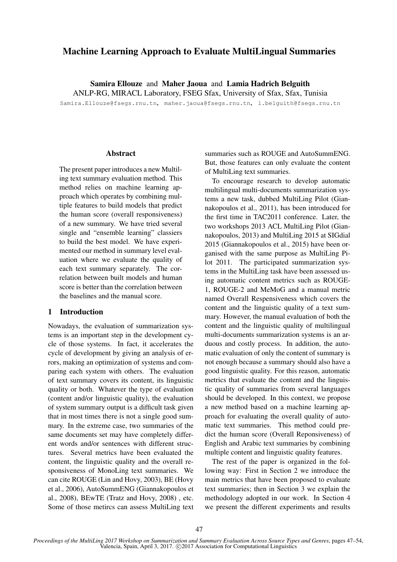# Machine Learning Approach to Evaluate MultiLingual Summaries

Samira Ellouze and Maher Jaoua and Lamia Hadrich Belguith

ANLP-RG, MIRACL Laboratory, FSEG Sfax, University of Sfax, Sfax, Tunisia

Samira.Ellouze@fsegs.rnu.tn, maher.jaoua@fsegs.rnu.tn, l.belguith@fsegs.rnu.tn

#### Abstract

The present paper introduces a new Multiling text summary evaluation method. This method relies on machine learning approach which operates by combining multiple features to build models that predict the human score (overall responsiveness) of a new summary. We have tried several single and "ensemble learning" classiers to build the best model. We have experimented our method in summary level evaluation where we evaluate the quality of each text summary separately. The correlation between built models and human score is better than the correlation between the baselines and the manual score.

### 1 Introduction

Nowadays, the evaluation of summarization systems is an important step in the development cycle of those systems. In fact, it accelerates the cycle of development by giving an analysis of errors, making an optimization of systems and comparing each system with others. The evaluation of text summary covers its content, its linguistic quality or both. Whatever the type of evaluation (content and/or linguistic quality), the evaluation of system summary output is a difficult task given that in most times there is not a single good summary. In the extreme case, two summaries of the same documents set may have completely different words and/or sentences with different structures. Several metrics have been evaluated the content, the linguistic quality and the overall responsiveness of MonoLing text summaries. We can cite ROUGE (Lin and Hovy, 2003), BE (Hovy et al., 2006), AutoSummENG (Giannakopoulos et al., 2008), BEwTE (Tratz and Hovy, 2008) , etc. Some of those metircs can assess MultiLing text

summaries such as ROUGE and AutoSummENG. But, those features can only evaluate the content of MultiLing text summaries.

To encourage research to develop automatic multilingual multi-documents summarization systems a new task, dubbed MultiLing Pilot (Giannakopoulos et al., 2011), has been introduced for the first time in TAC2011 conference. Later, the two workshops 2013 ACL MultiLing Pilot (Giannakopoulos, 2013) and MultiLing 2015 at SIGdial 2015 (Giannakopoulos et al., 2015) have been organised with the same purpose as MultiLing Pilot 2011. The participated summarization systems in the MultiLing task have been assessed using automatic content metrics such as ROUGE-1, ROUGE-2 and MeMoG and a manual metric named Overall Respensiveness which covers the content and the linguistic quality of a text summary. However, the manual evaluation of both the content and the linguistic quality of multilingual multi-documents summarization systems is an arduous and costly process. In addition, the automatic evaluation of only the content of summary is not enough because a summary should also have a good linguistic quality. For this reason, automatic metrics that evaluate the content and the linguistic quality of summaries from several languages should be developed. In this context, we propose a new method based on a machine learning approach for evaluating the overall quality of automatic text summaries. This method could predict the human score (Overall Reponsiveness) of English and Arabic text summaries by combining multiple content and linguistic quality features.

The rest of the paper is organized in the following way: First in Section 2 we introduce the main metrics that have been proposed to evaluate text summaries; then in Section 3 we explain the methodology adopted in our work. In Section 4 we present the different experiments and results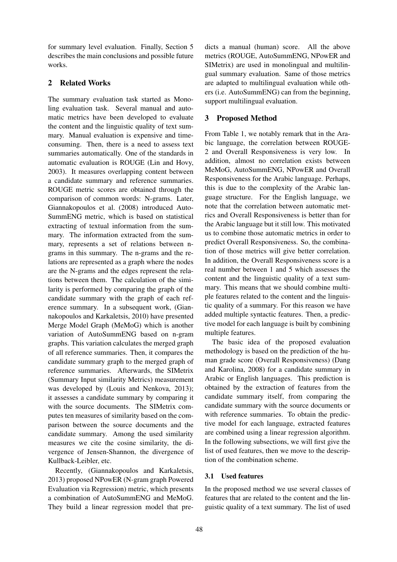for summary level evaluation. Finally, Section 5 describes the main conclusions and possible future works.

## 2 Related Works

The summary evaluation task started as Monoling evaluation task. Several manual and automatic metrics have been developed to evaluate the content and the linguistic quality of text summary. Manual evaluation is expensive and timeconsuming. Then, there is a need to assess text summaries automatically. One of the standards in automatic evaluation is ROUGE (Lin and Hovy, 2003). It measures overlapping content between a candidate summary and reference summaries. ROUGE metric scores are obtained through the comparison of common words: N-grams. Later, Giannakopoulos et al. (2008) introduced Auto-SummENG metric, which is based on statistical extracting of textual information from the summary. The information extracted from the summary, represents a set of relations between ngrams in this summary. The n-grams and the relations are represented as a graph where the nodes are the N-grams and the edges represent the relations between them. The calculation of the similarity is performed by comparing the graph of the candidate summary with the graph of each reference summary. In a subsequent work, (Giannakopoulos and Karkaletsis, 2010) have presented Merge Model Graph (MeMoG) which is another variation of AutoSummENG based on n-gram graphs. This variation calculates the merged graph of all reference summaries. Then, it compares the candidate summary graph to the merged graph of reference summaries. Afterwards, the SIMetrix (Summary Input similarity Metrics) measurement was developed by (Louis and Nenkova, 2013); it assesses a candidate summary by comparing it with the source documents. The SIMetrix computes ten measures of similarity based on the comparison between the source documents and the candidate summary. Among the used similarity measures we cite the cosine similarity, the divergence of Jensen-Shannon, the divergence of Kullback-Leibler, etc.

Recently, (Giannakopoulos and Karkaletsis, 2013) proposed NPowER (N-gram graph Powered Evaluation via Regression) metric, which presents a combination of AutoSummENG and MeMoG. They build a linear regression model that pre-

dicts a manual (human) score. All the above metrics (ROUGE, AutoSummENG, NPowER and SIMetrix) are used in monolingual and multilingual summary evaluation. Same of those metrics are adapted to multilingual evaluation while others (i.e. AutoSummENG) can from the beginning, support multilingual evaluation.

## 3 Proposed Method

From Table 1, we notably remark that in the Arabic language, the correlation between ROUGE-2 and Overall Responsiveness is very low. In addition, almost no correlation exists between MeMoG, AutoSummENG, NPowER and Overall Responsiveness for the Arabic language. Perhaps, this is due to the complexity of the Arabic language structure. For the English language, we note that the correlation between automatic metrics and Overall Responsiveness is better than for the Arabic language but it still low. This motivated us to combine those automatic metrics in order to predict Overall Responsiveness. So, the combination of those metrics will give better correlation. In addition, the Overall Responsiveness score is a real number between 1 and 5 which assesses the content and the linguistic quality of a text summary. This means that we should combine multiple features related to the content and the linguistic quality of a summary. For this reason we have added multiple syntactic features. Then, a predictive model for each language is built by combining multiple features.

The basic idea of the proposed evaluation methodology is based on the prediction of the human grade score (Overall Responsiveness) (Dang and Karolina, 2008) for a candidate summary in Arabic or English languages. This prediction is obtained by the extraction of features from the candidate summary itself, from comparing the candidate summary with the source documents or with reference summaries. To obtain the predictive model for each language, extracted features are combined using a linear regression algorithm. In the following subsections, we will first give the list of used features, then we move to the description of the combination scheme.

## 3.1 Used features

In the proposed method we use several classes of features that are related to the content and the linguistic quality of a text summary. The list of used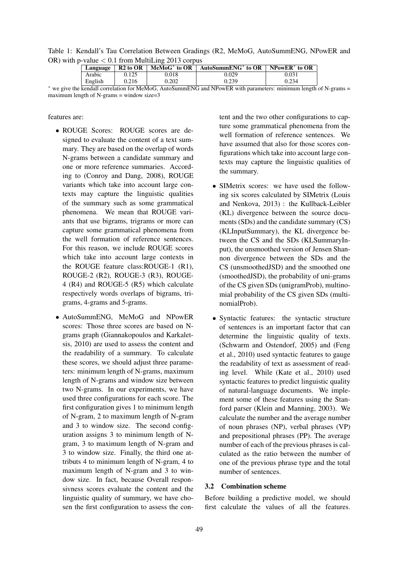Table 1: Kendall's Tau Correlation Between Gradings (R2, MeMoG, AutoSummENG, NPowER and OR) with p-value  $< 0.1$  from MultiLing 2013 corpus

| 0.029<br>Arabic<br>0.125<br>0.018  | NPowER <sup>*</sup> to OR |
|------------------------------------|---------------------------|
|                                    | 0.031                     |
| English<br>0.202<br>0.239<br>0.216 | 0.234                     |

<sup>∗</sup> we give the kendall correlation for MeMoG, AutoSummENG and NPowER with parameters: minimum length of N-grams = maximum length of N-grams  $=$  window size $=$ 3

#### features are:

- ROUGE Scores: ROUGE scores are designed to evaluate the content of a text summary. They are based on the overlap of words N-grams between a candidate summary and one or more reference summaries. According to (Conroy and Dang, 2008), ROUGE variants which take into account large contexts may capture the linguistic qualities of the summary such as some grammatical phenomena. We mean that ROUGE variants that use bigrams, trigrams or more can capture some grammatical phenomena from the well formation of reference sentences. For this reason, we include ROUGE scores which take into account large contexts in the ROUGE feature class:ROUGE-1 (R1), ROUGE-2 (R2), ROUGE-3 (R3), ROUGE-4 (R4) and ROUGE-5 (R5) which calculate respectively words overlaps of bigrams, trigrams, 4-grams and 5-grams.
- AutoSummENG, MeMoG and NPowER scores: Those three scores are based on Ngrams graph (Giannakopoulos and Karkaletsis, 2010) are used to assess the content and the readability of a summary. To calculate these scores, we should adjust three parameters: minimum length of N-grams, maximum length of N-grams and window size between two N-grams. In our experiments, we have used three configurations for each score. The first configuration gives 1 to minimum length of N-gram, 2 to maximum length of N-gram and 3 to window size. The second configuration assigns 3 to minimum length of Ngram, 3 to maximum length of N-gram and 3 to window size. Finally, the third one attributs 4 to minimum length of N-gram, 4 to maximum length of N-gram and 3 to window size. In fact, because Overall responsivness scores evaluate the content and the linguistic quality of summary, we have chosen the first configuration to assess the con-

tent and the two other configurations to capture some grammatical phenomena from the well formation of reference sentences. We have assumed that also for those scores configurations which take into account large contexts may capture the linguistic qualities of the summary.

- SIMetrix scores: we have used the following six scores calculated by SIMetrix (Louis and Nenkova, 2013) : the Kullback-Leibler (KL) divergence between the source documents (SDs) and the candidate summary (CS) (KLInputSummary), the KL divergence between the CS and the SDs (KLSummaryInput), the unsmoothed version of Jensen Shannon divergence between the SDs and the CS (unsmoothedJSD) and the smoothed one (smoothedJSD), the probability of uni-grams of the CS given SDs (unigramProb), multinomial probability of the CS given SDs (multinomialProb).
- Syntactic features: the syntactic structure of sentences is an important factor that can determine the linguistic quality of texts. (Schwarm and Ostendorf, 2005) and (Feng et al., 2010) used syntactic features to gauge the readability of text as assessment of reading level. While (Kate et al., 2010) used syntactic features to predict linguistic quality of natural-language documents. We implement some of these features using the Stanford parser (Klein and Manning, 2003). We calculate the number and the average number of noun phrases (NP), verbal phrases (VP) and prepositional phrases (PP). The average number of each of the previous phrases is calculated as the ratio between the number of one of the previous phrase type and the total number of sentences.

## 3.2 Combination scheme

Before building a predictive model, we should first calculate the values of all the features.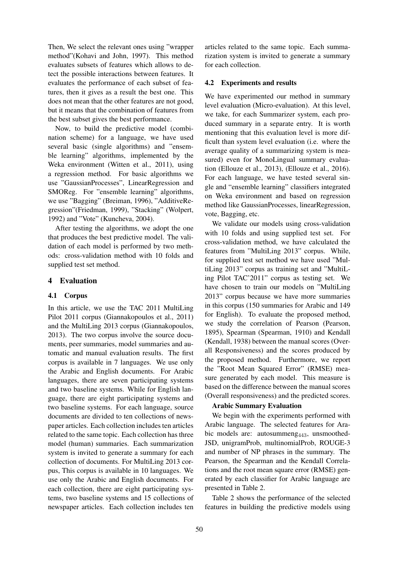Then, We select the relevant ones using "wrapper method"(Kohavi and John, 1997). This method evaluates subsets of features which allows to detect the possible interactions between features. It evaluates the performance of each subset of features, then it gives as a result the best one. This does not mean that the other features are not good, but it means that the combination of features from the best subset gives the best performance.

Now, to build the predictive model (combination scheme) for a language, we have used several basic (single algorithms) and "ensemble learning" algorithms, implemented by the Weka environment (Witten et al., 2011), using a regression method. For basic algorithms we use "GaussianProcesses", LinearRegression and SMOReg. For "ensemble learning" algorithms, we use "Bagging" (Breiman, 1996), "AdditiveRegression"(Friedman, 1999), "Stacking" (Wolpert, 1992) and "Vote" (Kuncheva, 2004).

After testing the algorithms, we adopt the one that produces the best predictive model. The validation of each model is performed by two methods: cross-validation method with 10 folds and supplied test set method.

## 4 Evaluation

## 4.1 Corpus

In this article, we use the TAC 2011 MultiLing Pilot 2011 corpus (Giannakopoulos et al., 2011) and the MultiLing 2013 corpus (Giannakopoulos, 2013). The two corpus involve the source documents, peer summaries, model summaries and automatic and manual evaluation results. The first corpus is available in 7 languages. We use only the Arabic and English documents. For Arabic languages, there are seven participating systems and two baseline systems. While for English language, there are eight participating systems and two baseline systems. For each language, source documents are divided to ten collections of newspaper articles. Each collection includes ten articles related to the same topic. Each collection has three model (human) summaries. Each summarization system is invited to generate a summary for each collection of documents. For MultiLing 2013 corpus, This corpus is available in 10 languages. We use only the Arabic and English documents. For each collection, there are eight participating systems, two baseline systems and 15 collections of newspaper articles. Each collection includes ten

articles related to the same topic. Each summarization system is invited to generate a summary for each collection.

#### 4.2 Experiments and results

We have experimented our method in summary level evaluation (Micro-evaluation). At this level, we take, for each Summarizer system, each produced summary in a separate entry. It is worth mentioning that this evaluation level is more difficult than system level evaluation (i.e. where the average quality of a summarizing system is measured) even for MonoLingual summary evaluation (Ellouze et al., 2013), (Ellouze et al., 2016). For each language, we have tested several single and "ensemble learning" classifiers integrated on Weka environment and based on regression method like GaussianProcesses, linearRegression, vote, Bagging, etc.

We validate our models using cross-validation with 10 folds and using supplied test set. For cross-validation method, we have calculated the features from "MultiLing 2013" corpus. While, for supplied test set method we have used "MultiLing 2013" corpus as training set and "MultiLing Pilot TAC'2011" corpus as testing set. We have chosen to train our models on "MultiLing 2013" corpus because we have more summaries in this corpus (150 summaries for Arabic and 149 for English). To evaluate the proposed method, we study the correlation of Pearson (Pearson, 1895), Spearman (Spearman, 1910) and Kendall (Kendall, 1938) between the manual scores (Overall Responsiveness) and the scores produced by the proposed method. Furthermore, we report the "Root Mean Squared Error" (RMSE) measure generated by each model. This measure is based on the difference between the manual scores (Overall responsiveness) and the predicted scores.

#### Arabic Summary Evaluation

We begin with the experiments performed with Arabic language. The selected features for Arabic models are: autosummeng<sub>443</sub>, unsmoothed-JSD, unigramProb, multinomialProb, ROUGE-3 and number of NP phrases in the summary. The Pearson, the Spearman and the Kendall Correlations and the root mean square error (RMSE) generated by each classifier for Arabic language are presented in Table 2.

Table 2 shows the performance of the selected features in building the predictive models using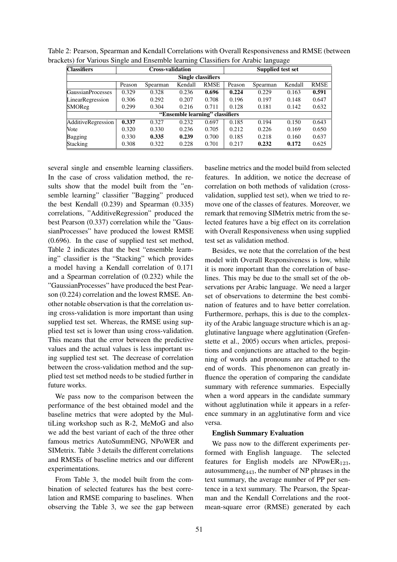| <b>Classifiers</b>              |        | <b>Cross-validation</b> |         |             | Supplied test set |          |         |             |  |  |
|---------------------------------|--------|-------------------------|---------|-------------|-------------------|----------|---------|-------------|--|--|
| <b>Single classifiers</b>       |        |                         |         |             |                   |          |         |             |  |  |
|                                 | Peason | Spearman                | Kendall | <b>RMSE</b> | Peason            | Spearman | Kendall | <b>RMSE</b> |  |  |
| <b>GaussianProcesses</b>        | 0.329  | 0.328                   | 0.236   | 0.696       | 0.224             | 0.229    | 0.163   | 0.591       |  |  |
| LinearRegression                | 0.306  | 0.292                   | 0.207   | 0.708       | 0.196             | 0.197    | 0.148   | 0.647       |  |  |
| SMOReg                          | 0.299  | 0.304                   | 0.216   | 0.711       | 0.128             | 0.181    | 0.142   | 0.632       |  |  |
| "Ensemble learning" classifiers |        |                         |         |             |                   |          |         |             |  |  |
| AdditiveRegression              | 0.337  | 0.327                   | 0.232   | 0.697       | 0.185             | 0.194    | 0.150   | 0.643       |  |  |
| Vote                            | 0.320  | 0.330                   | 0.236   | 0.705       | 0.212             | 0.226    | 0.169   | 0.650       |  |  |
| Bagging                         | 0.330  | 0.335                   | 0.239   | 0.700       | 0.185             | 0.218    | 0.160   | 0.637       |  |  |
| Stacking                        | 0.308  | 0.322                   | 0.228   | 0.701       | 0.217             | 0.232    | 0.172   | 0.625       |  |  |

Table 2: Pearson, Spearman and Kendall Correlations with Overall Responsiveness and RMSE (between brackets) for Various Single and Ensemble learning Classifiers for Arabic language

several single and ensemble learning classifiers. In the case of cross validation method, the results show that the model built from the "ensemble learning" classifier "Bagging" produced the best Kendall (0.239) and Spearman (0.335) correlations, "AdditiveRegression" produced the best Pearson (0.337) correlation while the "GaussianProcesses" have produced the lowest RMSE (0.696). In the case of supplied test set method, Table 2 indicates that the best "ensemble learning" classifier is the "Stacking" which provides a model having a Kendall correlation of 0.171 and a Spearman correlation of (0.232) while the "GaussianProcesses" have produced the best Pearson (0.224) correlation and the lowest RMSE. Another notable observation is that the correlation using cross-validation is more important than using supplied test set. Whereas, the RMSE using supplied test set is lower than using cross-validation. This means that the error between the predictive values and the actual values is less important using supplied test set. The decrease of correlation between the cross-validation method and the supplied test set method needs to be studied further in future works.

We pass now to the comparison between the performance of the best obtained model and the baseline metrics that were adopted by the MultiLing workshop such as R-2, MeMoG and also we add the best variant of each of the three other famous metrics AutoSummENG, NPoWER and SIMetrix. Table 3 details the different correlations and RMSEs of baseline metrics and our different experimentations.

From Table 3, the model built from the combination of selected features has the best correlation and RMSE comparing to baselines. When observing the Table 3, we see the gap between

baseline metrics and the model build from selected features. In addition, we notice the decrease of correlation on both methods of validation (crossvalidation, supplied test set), when we tried to remove one of the classes of features. Moreover, we remark that removing SIMetrix metric from the selected features have a big effect on its correlation with Overall Responsiveness when using supplied test set as validation method.

Besides, we note that the correlation of the best model with Overall Responsiveness is low, while it is more important than the correlation of baselines. This may be due to the small set of the observations per Arabic language. We need a larger set of observations to determine the best combination of features and to have better correlation. Furthermore, perhaps, this is due to the complexity of the Arabic language structure which is an agglutinative language where agglutination (Grefenstette et al., 2005) occurs when articles, prepositions and conjunctions are attached to the beginning of words and pronouns are attached to the end of words. This phenomenon can greatly influence the operation of comparing the candidate summary with reference summaries. Especially when a word appears in the candidate summary without agglutination while it appears in a reference summary in an agglutinative form and vice versa.

#### English Summary Evaluation

We pass now to the different experiments performed with English language. The selected features for English models are NPowER $_{123}$ , autosummeng $_{443}$ , the number of NP phrases in the text summary, the average number of PP per sentence in a text summary. The Pearson, the Spearman and the Kendall Correlations and the rootmean-square error (RMSE) generated by each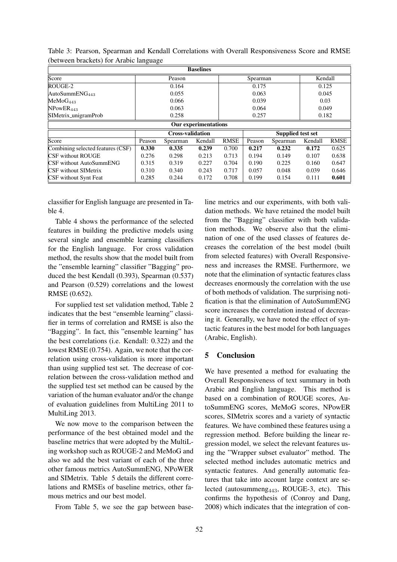| <b>Baselines</b>                  |        |                         |         |             |                   |          |         |             |  |  |
|-----------------------------------|--------|-------------------------|---------|-------------|-------------------|----------|---------|-------------|--|--|
| Score                             | Peason |                         |         |             | Spearman          | Kendall  |         |             |  |  |
| ROUGE-2                           |        | 0.164                   |         | 0.175       |                   |          | 0.125   |             |  |  |
| AutoSummEN $G_{443}$              |        | 0.055                   |         | 0.063       |                   |          | 0.045   |             |  |  |
| MeMoG <sub>443</sub>              | 0.066  |                         |         | 0.039       |                   |          | 0.03    |             |  |  |
| NPowER <sub>443</sub>             | 0.063  |                         |         | 0.064       |                   |          | 0.049   |             |  |  |
| SIMetrix_unigramProb              | 0.258  |                         |         | 0.257       |                   |          | 0.182   |             |  |  |
| <b>Our experimentations</b>       |        |                         |         |             |                   |          |         |             |  |  |
|                                   |        | <b>Cross-validation</b> |         |             | Supplied test set |          |         |             |  |  |
| Score                             | Peason | Spearman                | Kendall | <b>RMSE</b> | Peason            | Spearman | Kendall | <b>RMSE</b> |  |  |
| Combining selected features (CSF) | 0.330  | 0.335                   | 0.239   | 0.700       | 0.217             | 0.232    | 0.172   | 0.625       |  |  |
| <b>CSF</b> without ROUGE          | 0.276  | 0.298                   | 0.213   | 0.713       | 0.194             | 0.149    | 0.107   | 0.638       |  |  |
| <b>CSF</b> without AutoSummENG    | 0.315  | 0.319                   | 0.227   | 0.704       | 0.190             | 0.225    | 0.160   | 0.647       |  |  |
| <b>CSF</b> without SIMetrix       | 0.310  | 0.340                   | 0.243   | 0.717       | 0.057             | 0.048    | 0.039   | 0.646       |  |  |
| CSF without Synt Feat             | 0.285  | 0.244                   | 0.172   | 0.708       | 0.199             | 0.154    | 0.111   | 0.601       |  |  |

Table 3: Pearson, Spearman and Kendall Correlations with Overall Responsiveness Score and RMSE (between brackets) for Arabic language

classifier for English language are presented in Table 4.

Table 4 shows the performance of the selected features in building the predictive models using several single and ensemble learning classifiers for the English language. For cross validation method, the results show that the model built from the "ensemble learning" classifier "Bagging" produced the best Kendall (0.393), Spearman (0.537) and Pearson (0.529) correlations and the lowest RMSE (0.652).

For supplied test set validation method, Table 2 indicates that the best "ensemble learning" classifier in terms of correlation and RMSE is also the "Bagging". In fact, this "ensemble learning" has the best correlations (i.e. Kendall: 0.322) and the lowest RMSE (0.754). Again, we note that the correlation using cross-validation is more important than using supplied test set. The decrease of correlation between the cross-validation method and the supplied test set method can be caused by the variation of the human evaluator and/or the change of evaluation guidelines from MultiLing 2011 to MultiLing 2013.

We now move to the comparison between the performance of the best obtained model and the baseline metrics that were adopted by the MultiLing workshop such as ROUGE-2 and MeMoG and also we add the best variant of each of the three other famous metrics AutoSummENG, NPoWER and SIMetrix. Table 5 details the different correlations and RMSEs of baseline metrics, other famous metrics and our best model.

From Table 5, we see the gap between base-

line metrics and our experiments, with both validation methods. We have retained the model built from the "Bagging" classifier with both validation methods. We observe also that the elimination of one of the used classes of features decreases the correlation of the best model (built from selected features) with Overall Responsiveness and increases the RMSE. Furthermore, we note that the elimination of syntactic features class decreases enormously the correlation with the use of both methods of validation. The surprising notification is that the elimination of AutoSummENG score increases the correlation instead of decreasing it. Generally, we have noted the effect of syntactic features in the best model for both languages (Arabic, English).

## 5 Conclusion

We have presented a method for evaluating the Overall Responsiveness of text summary in both Arabic and English language. This method is based on a combination of ROUGE scores, AutoSummENG scores, MeMoG scores, NPowER scores, SIMetrix scores and a variety of syntactic features. We have combined these features using a regression method. Before building the linear regression model, we select the relevant features using the "Wrapper subset evaluator" method. The selected method includes automatic metrics and syntactic features. And generally automatic features that take into account large context are selected (autosummeng $_{443}$ , ROUGE-3, etc). This confirms the hypothesis of (Conroy and Dang, 2008) which indicates that the integration of con-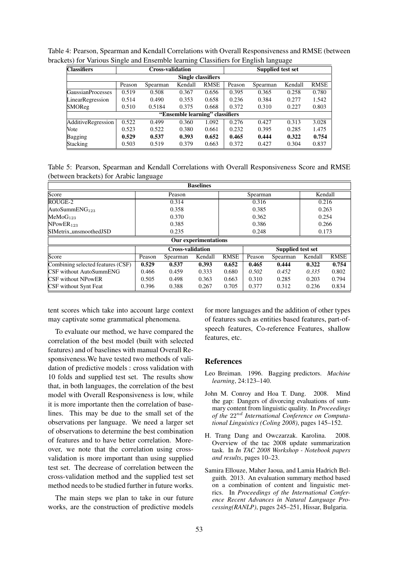| <b>Classifiers</b>              | <b>Cross-validation</b> |          |         |             | <b>Supplied test set</b> |          |         |             |  |  |  |
|---------------------------------|-------------------------|----------|---------|-------------|--------------------------|----------|---------|-------------|--|--|--|
| Single classifiers              |                         |          |         |             |                          |          |         |             |  |  |  |
|                                 | Peason                  | Spearman | Kendall | <b>RMSE</b> | Peason                   | Spearman | Kendall | <b>RMSE</b> |  |  |  |
| <b>GaussianProcesses</b>        | 0.519                   | 0.508    | 0.367   | 0.656       | 0.395                    | 0.365    | 0.258   | 0.780       |  |  |  |
| LinearRegression                | 0.514                   | 0.490    | 0.353   | 0.658       | 0.236                    | 0.384    | 0.277   | 1.542       |  |  |  |
| SMOReg                          | 0.510                   | 0.5184   | 0.375   | 0.668       | 0.372                    | 0.310    | 0.227   | 0.803       |  |  |  |
| "Ensemble learning" classifiers |                         |          |         |             |                          |          |         |             |  |  |  |
| <b>AdditiveRegression</b>       | 0.522                   | 0.499    | 0.360   | 1.092       | 0.276                    | 0.427    | 0.313   | 3.028       |  |  |  |
| Vote                            | 0.523                   | 0.522    | 0.380   | 0.661       | 0.232                    | 0.395    | 0.285   | 1.475       |  |  |  |
| Bagging                         | 0.529                   | 0.537    | 0.393   | 0.652       | 0.465                    | 0.444    | 0.322   | 0.754       |  |  |  |
| Stacking                        | 0.503                   | 0.519    | 0.379   | 0.663       | 0.372                    | 0.427    | 0.304   | 0.837       |  |  |  |

Table 4: Pearson, Spearman and Kendall Correlations with Overall Responsiveness and RMSE (between brackets) for Various Single and Ensemble learning Classifiers for English language

Table 5: Pearson, Spearman and Kendall Correlations with Overall Responsiveness Score and RMSE (between brackets) for Arabic language

| <b>Baselines</b>                  |                         |          |         |             |                   |          |         |             |  |  |
|-----------------------------------|-------------------------|----------|---------|-------------|-------------------|----------|---------|-------------|--|--|
| Score                             | Peason                  |          |         |             | Spearman          | Kendall  |         |             |  |  |
| ROUGE-2                           |                         | 0.314    |         | 0.316       |                   |          | 0.216   |             |  |  |
| AutoSummEN $G_{123}$              |                         | 0.358    |         | 0.385       |                   |          | 0.263   |             |  |  |
| MeMoG <sub>123</sub>              |                         | 0.370    |         | 0.362       |                   |          | 0.254   |             |  |  |
| NPowER <sub>123</sub>             |                         | 0.385    |         | 0.386       |                   |          | 0.266   |             |  |  |
| SIMetrix_unsmoothedJSD            | 0.235                   |          |         | 0.248       |                   |          | 0.173   |             |  |  |
| Our experimentations              |                         |          |         |             |                   |          |         |             |  |  |
|                                   | <b>Cross-validation</b> |          |         |             | Supplied test set |          |         |             |  |  |
| Score                             | Peason                  | Spearman | Kendall | <b>RMSE</b> | Peason            | Spearman | Kendall | <b>RMSE</b> |  |  |
| Combining selected features (CSF) | 0.529                   | 0.537    | 0.393   | 0.652       | 0.465             | 0.444    | 0.322   | 0.754       |  |  |
| <b>CSF</b> without AutoSummENG    | 0.466                   | 0.459    | 0.333   | 0.680       | 0.502             | 0.452    | 0.335   | 0.802       |  |  |
| <b>CSF</b> without NPowER         | 0.505                   | 0.498    | 0.363   | 0.663       | 0.310             | 0.285    | 0.203   | 0.794       |  |  |
| <b>CSF</b> without Synt Feat      | 0.396                   | 0.388    | 0.267   | 0.705       | 0.377             | 0.312    | 0.236   | 0.834       |  |  |

tent scores which take into account large context may captivate some grammatical phenomena.

To evaluate our method, we have compared the correlation of the best model (built with selected features) and of baselines with manual Overall Responsiveness.We have tested two methods of validation of predictive models : cross validation with 10 folds and supplied test set. The results show that, in both languages, the correlation of the best model with Overall Responsiveness is low, while it is more importante then the correlation of baselines. This may be due to the small set of the observations per language. We need a larger set of observations to determine the best combination of features and to have better correlation. Moreover, we note that the correlation using crossvalidation is more important than using supplied test set. The decrease of correlation between the cross-validation method and the supplied test set method needs to be studied further in future works.

The main steps we plan to take in our future works, are the construction of predictive models for more languages and the addition of other types of features such as entities based features, part-ofspeech features, Co-reference Features, shallow features, etc.

#### References

- Leo Breiman. 1996. Bagging predictors. *Machine learning*, 24:123–140.
- John M. Conroy and Hoa T. Dang. 2008. Mind the gap: Dangers of divorcing evaluations of summary content from linguistic quality. In *Proceedings of the* 22nd *International Conference on Computational Linguistics (Coling 2008)*, pages 145–152.
- H. Trang Dang and Owczarzak. Karolina. 2008. Overview of the tac 2008 update summarization task. In *In TAC 2008 Workshop - Notebook papers and results*, pages 10–23.
- Samira Ellouze, Maher Jaoua, and Lamia Hadrich Belguith. 2013. An evaluation summary method based on a combination of content and linguistic metrics. In *Proceedings of the International Conference Recent Advances in Natural Language Processing(RANLP)*, pages 245–251, Hissar, Bulgaria.